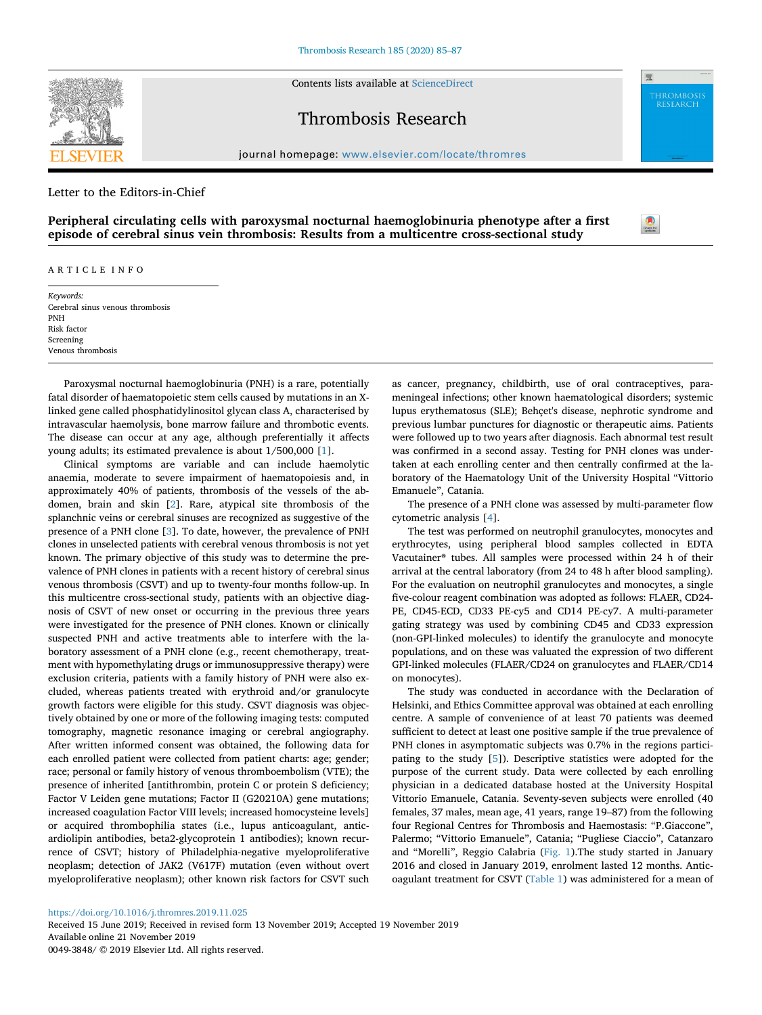SEVIER

Contents lists available at [ScienceDirect](http://www.sciencedirect.com/science/journal/00493848)

# Thrombosis Research

journal homepage: [www.elsevier.com/locate/thromres](https://www.elsevier.com/locate/thromres)

Letter to the Editors-in-Chief

## **Peripheral circulating cells with paroxysmal nocturnal haemoglobinuria phenotype after a first episode of cerebral sinus vein thrombosis: Results from a multicentre cross-sectional study**



THROMBOSIS<br>RESEARCH

ARTICLE INFO

*Keywords:* Cerebral sinus venous thrombosis PNH Risk factor Screening Venous thrombosis

Paroxysmal nocturnal haemoglobinuria (PNH) is a rare, potentially fatal disorder of haematopoietic stem cells caused by mutations in an Xlinked gene called phosphatidylinositol glycan class A, characterised by intravascular haemolysis, bone marrow failure and thrombotic events. The disease can occur at any age, although preferentially it affects young adults; its estimated prevalence is about 1/500,000 [\[1\]](#page-2-0).

Clinical symptoms are variable and can include haemolytic anaemia, moderate to severe impairment of haematopoiesis and, in approximately 40% of patients, thrombosis of the vessels of the abdomen, brain and skin [\[2](#page-2-1)]. Rare, atypical site thrombosis of the splanchnic veins or cerebral sinuses are recognized as suggestive of the presence of a PNH clone [[3](#page-2-2)]. To date, however, the prevalence of PNH clones in unselected patients with cerebral venous thrombosis is not yet known. The primary objective of this study was to determine the prevalence of PNH clones in patients with a recent history of cerebral sinus venous thrombosis (CSVT) and up to twenty-four months follow-up. In this multicentre cross-sectional study, patients with an objective diagnosis of CSVT of new onset or occurring in the previous three years were investigated for the presence of PNH clones. Known or clinically suspected PNH and active treatments able to interfere with the laboratory assessment of a PNH clone (e.g., recent chemotherapy, treatment with hypomethylating drugs or immunosuppressive therapy) were exclusion criteria, patients with a family history of PNH were also excluded, whereas patients treated with erythroid and/or granulocyte growth factors were eligible for this study. CSVT diagnosis was objectively obtained by one or more of the following imaging tests: computed tomography, magnetic resonance imaging or cerebral angiography. After written informed consent was obtained, the following data for each enrolled patient were collected from patient charts: age; gender; race; personal or family history of venous thromboembolism (VTE); the presence of inherited [antithrombin, protein C or protein S deficiency; Factor V Leiden gene mutations; Factor II (G20210A) gene mutations; increased coagulation Factor VIII levels; increased homocysteine levels] or acquired thrombophilia states (i.e., lupus anticoagulant, anticardiolipin antibodies, beta2-glycoprotein 1 antibodies); known recurrence of CSVT; history of Philadelphia-negative myeloproliferative neoplasm; detection of JAK2 (V617F) mutation (even without overt myeloproliferative neoplasm); other known risk factors for CSVT such

as cancer, pregnancy, childbirth, use of oral contraceptives, parameningeal infections; other known haematological disorders; systemic lupus erythematosus (SLE); Behçet's disease, nephrotic syndrome and previous lumbar punctures for diagnostic or therapeutic aims. Patients were followed up to two years after diagnosis. Each abnormal test result was confirmed in a second assay. Testing for PNH clones was undertaken at each enrolling center and then centrally confirmed at the laboratory of the Haematology Unit of the University Hospital "Vittorio Emanuele", Catania.

The presence of a PNH clone was assessed by multi-parameter flow cytometric analysis [[4](#page-2-3)].

The test was performed on neutrophil granulocytes, monocytes and erythrocytes, using peripheral blood samples collected in EDTA Vacutainer® tubes. All samples were processed within 24 h of their arrival at the central laboratory (from 24 to 48 h after blood sampling). For the evaluation on neutrophil granulocytes and monocytes, a single five-colour reagent combination was adopted as follows: FLAER, CD24- PE, CD45-ECD, CD33 PE-cy5 and CD14 PE-cy7. A multi-parameter gating strategy was used by combining CD45 and CD33 expression (non-GPI-linked molecules) to identify the granulocyte and monocyte populations, and on these was valuated the expression of two different GPI-linked molecules (FLAER/CD24 on granulocytes and FLAER/CD14 on monocytes).

The study was conducted in accordance with the Declaration of Helsinki, and Ethics Committee approval was obtained at each enrolling centre. A sample of convenience of at least 70 patients was deemed sufficient to detect at least one positive sample if the true prevalence of PNH clones in asymptomatic subjects was 0.7% in the regions participating to the study [[5](#page-2-4)]). Descriptive statistics were adopted for the purpose of the current study. Data were collected by each enrolling physician in a dedicated database hosted at the University Hospital Vittorio Emanuele, Catania. Seventy-seven subjects were enrolled (40 females, 37 males, mean age, 41 years, range 19–87) from the following four Regional Centres for Thrombosis and Haemostasis: "P.Giaccone", Palermo; "Vittorio Emanuele", Catania; "Pugliese Ciaccio", Catanzaro and "Morelli", Reggio Calabria [\(Fig. 1\)](#page-1-0).The study started in January 2016 and closed in January 2019, enrolment lasted 12 months. Anticoagulant treatment for CSVT ([Table 1](#page-1-1)) was administered for a mean of

<https://doi.org/10.1016/j.thromres.2019.11.025>

Received 15 June 2019; Received in revised form 13 November 2019; Accepted 19 November 2019 Available online 21 November 2019

0049-3848/ © 2019 Elsevier Ltd. All rights reserved.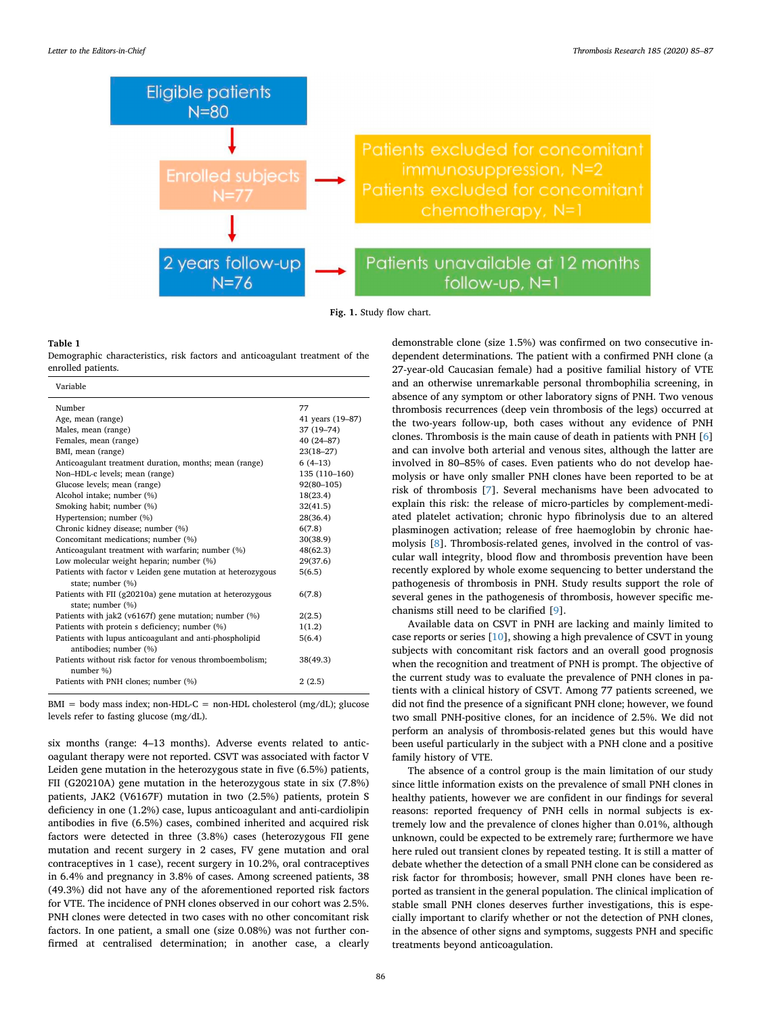<span id="page-1-0"></span>

**Fig. 1.** Study flow chart.

#### <span id="page-1-1"></span>**Table 1**

Demographic characteristics, risk factors and anticoagulant treatment of the enrolled patients.

| Variable                                                                          |                  |
|-----------------------------------------------------------------------------------|------------------|
| Number                                                                            | 77               |
| Age, mean (range)                                                                 | 41 years (19-87) |
| Males, mean (range)                                                               | 37 (19-74)       |
| Females, mean (range)                                                             | $40(24 - 87)$    |
| BMI, mean (range)                                                                 | $23(18-27)$      |
| Anticoagulant treatment duration, months; mean (range)                            | $6(4-13)$        |
| Non-HDL-c levels; mean (range)                                                    | 135 (110-160)    |
| Glucose levels; mean (range)                                                      | $92(80 - 105)$   |
| Alcohol intake; number (%)                                                        | 18(23.4)         |
| Smoking habit; number (%)                                                         | 32(41.5)         |
| Hypertension; number (%)                                                          | 28(36.4)         |
| Chronic kidney disease; number (%)                                                | 6(7.8)           |
| Concomitant medications; number (%)                                               | 30(38.9)         |
| Anticoagulant treatment with warfarin; number (%)                                 | 48(62.3)         |
| Low molecular weight heparin; number (%)                                          | 29(37.6)         |
| Patients with factor v Leiden gene mutation at heterozygous<br>state; number (%)  | 5(6.5)           |
| Patients with FII (g20210a) gene mutation at heterozygous<br>state; number (%)    | 6(7.8)           |
| Patients with jak2 (v6167f) gene mutation; number (%)                             | 2(2.5)           |
| Patients with protein s deficiency; number (%)                                    | 1(1.2)           |
| Patients with lupus anticoagulant and anti-phospholipid<br>antibodies: number (%) | 5(6.4)           |
| Patients without risk factor for venous thromboembolism;<br>number %)             | 38(49.3)         |
| Patients with PNH clones; number (%)                                              | 2(2.5)           |

 $BMI = body mass index; non-HDL-C = non-HDL cholesterol (mg/dL); glucose$ levels refer to fasting glucose (mg/dL).

six months (range: 4–13 months). Adverse events related to anticoagulant therapy were not reported. CSVT was associated with factor V Leiden gene mutation in the heterozygous state in five (6.5%) patients, FII (G20210A) gene mutation in the heterozygous state in six (7.8%) patients, JAK2 (V6167F) mutation in two (2.5%) patients, protein S deficiency in one (1.2%) case, lupus anticoagulant and anti-cardiolipin antibodies in five (6.5%) cases, combined inherited and acquired risk factors were detected in three (3.8%) cases (heterozygous FII gene mutation and recent surgery in 2 cases, FV gene mutation and oral contraceptives in 1 case), recent surgery in 10.2%, oral contraceptives in 6.4% and pregnancy in 3.8% of cases. Among screened patients, 38 (49.3%) did not have any of the aforementioned reported risk factors for VTE. The incidence of PNH clones observed in our cohort was 2.5%. PNH clones were detected in two cases with no other concomitant risk factors. In one patient, a small one (size 0.08%) was not further confirmed at centralised determination; in another case, a clearly

demonstrable clone (size 1.5%) was confirmed on two consecutive independent determinations. The patient with a confirmed PNH clone (a 27-year-old Caucasian female) had a positive familial history of VTE and an otherwise unremarkable personal thrombophilia screening, in absence of any symptom or other laboratory signs of PNH. Two venous thrombosis recurrences (deep vein thrombosis of the legs) occurred at the two-years follow-up, both cases without any evidence of PNH clones. Thrombosis is the main cause of death in patients with PNH [[6](#page-2-5)] and can involve both arterial and venous sites, although the latter are involved in 80–85% of cases. Even patients who do not develop haemolysis or have only smaller PNH clones have been reported to be at risk of thrombosis [\[7](#page-2-6)]. Several mechanisms have been advocated to explain this risk: the release of micro-particles by complement-mediated platelet activation; chronic hypo fibrinolysis due to an altered plasminogen activation; release of free haemoglobin by chronic haemolysis [\[8\]](#page-2-7). Thrombosis-related genes, involved in the control of vascular wall integrity, blood flow and thrombosis prevention have been recently explored by whole exome sequencing to better understand the pathogenesis of thrombosis in PNH. Study results support the role of several genes in the pathogenesis of thrombosis, however specific mechanisms still need to be clarified [[9](#page-2-8)].

Available data on CSVT in PNH are lacking and mainly limited to case reports or series [[10\]](#page-2-9), showing a high prevalence of CSVT in young subjects with concomitant risk factors and an overall good prognosis when the recognition and treatment of PNH is prompt. The objective of the current study was to evaluate the prevalence of PNH clones in patients with a clinical history of CSVT. Among 77 patients screened, we did not find the presence of a significant PNH clone; however, we found two small PNH-positive clones, for an incidence of 2.5%. We did not perform an analysis of thrombosis-related genes but this would have been useful particularly in the subject with a PNH clone and a positive family history of VTE.

The absence of a control group is the main limitation of our study since little information exists on the prevalence of small PNH clones in healthy patients, however we are confident in our findings for several reasons: reported frequency of PNH cells in normal subjects is extremely low and the prevalence of clones higher than 0.01%, although unknown, could be expected to be extremely rare; furthermore we have here ruled out transient clones by repeated testing. It is still a matter of debate whether the detection of a small PNH clone can be considered as risk factor for thrombosis; however, small PNH clones have been reported as transient in the general population. The clinical implication of stable small PNH clones deserves further investigations, this is especially important to clarify whether or not the detection of PNH clones, in the absence of other signs and symptoms, suggests PNH and specific treatments beyond anticoagulation.